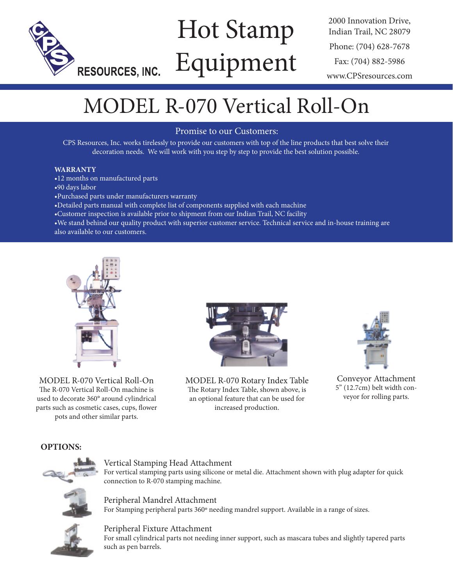

# Hot Stamp Equipment

2000 Innovation Drive, Indian Trail, NC 28079 Phone: (704) 628-7678 Fax: (704) 882-5986 www.CPSresources.com

## MODEL R-070 Vertical Roll-On

## Promise to our Customers:

CPS Resources, Inc. works tirelessly to provide our customers with top of the line products that best solve their decoration needs. We will work with you step by step to provide the best solution possible.

### **WARRANTY**

- •12 months on manufactured parts
- •90 days labor
- •Purchased parts under manufacturers warranty
- •Detailed parts manual with complete list of components supplied with each machine
- •Customer inspection is available prior to shipment from our Indian Trail, NC facility

•We stand behind our quality product with superior customer service. Technical service and in-house training are also available to our customers.



MODEL R-070 Vertical Roll-On The R-070 Vertical Roll-On machine is used to decorate 360° around cylindrical parts such as cosmetic cases, cups, flower pots and other similar parts.



MODEL R-070 Rotary Index Table The Rotary Index Table, shown above, is an optional feature that can be used for increased production.



Conveyor Attachment 5" (12.7cm) belt width conveyor for rolling parts.

## **OPTIONS:**



### Vertical Stamping Head Attachment

For vertical stamping parts using silicone or metal die. Attachment shown with plug adapter for quick connection to R-070 stamping machine.

Peripheral Mandrel Attachment For Stamping peripheral parts 360º needing mandrel support. Available in a range of sizes.



Peripheral Fixture Attachment For small cylindrical parts not needing inner support, such as mascara tubes and slightly tapered parts such as pen barrels.